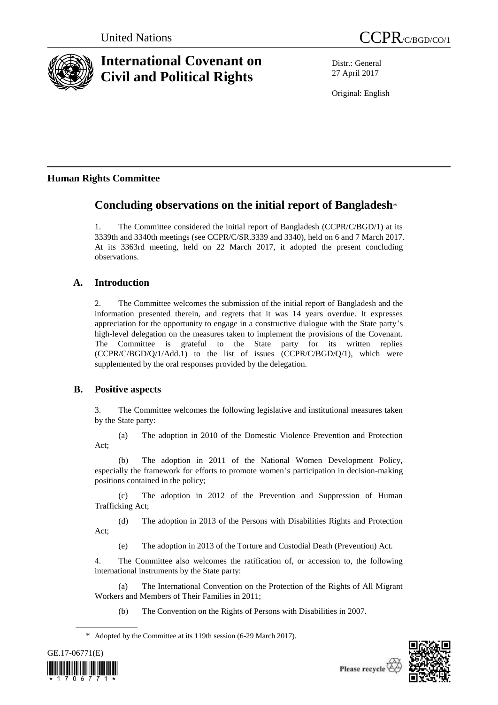

# **International Covenant on Civil and Political Rights**

Distr.: General 27 April 2017

Original: English

# **Human Rights Committee**

# **Concluding observations on the initial report of Bangladesh**\*

1. The Committee considered the initial report of Bangladesh (CCPR/C/BGD/1) at its 3339th and 3340th meetings (see CCPR/C/SR.3339 and 3340), held on 6 and 7 March 2017. At its 3363rd meeting, held on 22 March 2017, it adopted the present concluding observations.

# **A. Introduction**

2. The Committee welcomes the submission of the initial report of Bangladesh and the information presented therein, and regrets that it was 14 years overdue. It expresses appreciation for the opportunity to engage in a constructive dialogue with the State party's high-level delegation on the measures taken to implement the provisions of the Covenant. The Committee is grateful to the State party for its written replies (CCPR/C/BGD/Q/1/Add.1) to the list of issues (CCPR/C/BGD/Q/1), which were supplemented by the oral responses provided by the delegation.

# **B. Positive aspects**

3. The Committee welcomes the following legislative and institutional measures taken by the State party:

(a) The adoption in 2010 of the Domestic Violence Prevention and Protection Act;

(b) The adoption in 2011 of the National Women Development Policy, especially the framework for efforts to promote women's participation in decision-making positions contained in the policy;

(c) The adoption in 2012 of the Prevention and Suppression of Human Trafficking Act;

(d) The adoption in 2013 of the Persons with Disabilities Rights and Protection Act;

(e) The adoption in 2013 of the Torture and Custodial Death (Prevention) Act.

4. The Committee also welcomes the ratification of, or accession to, the following international instruments by the State party:

(a) The International Convention on the Protection of the Rights of All Migrant Workers and Members of Their Families in 2011;

(b) The Convention on the Rights of Persons with Disabilities in 2007.

<sup>\*</sup> Adopted by the Committee at its 119th session (6-29 March 2017).

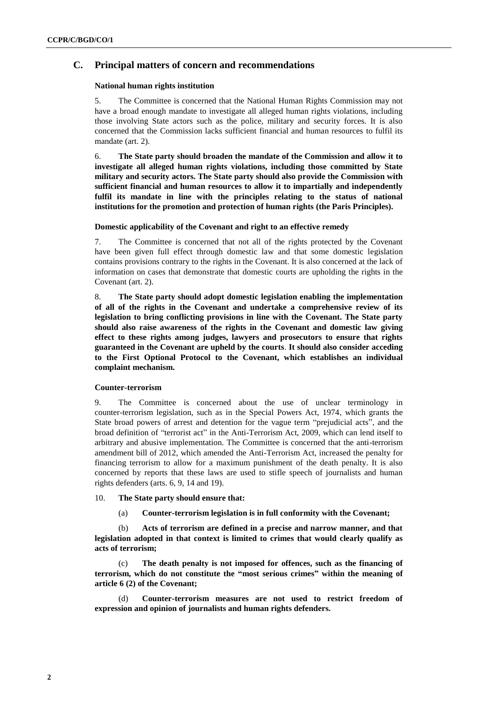# **C. Principal matters of concern and recommendations**

#### **National human rights institution**

5. The Committee is concerned that the National Human Rights Commission may not have a broad enough mandate to investigate all alleged human rights violations, including those involving State actors such as the police, military and security forces. It is also concerned that the Commission lacks sufficient financial and human resources to fulfil its mandate (art. 2).

6. **The State party should broaden the mandate of the Commission and allow it to investigate all alleged human rights violations, including those committed by State military and security actors. The State party should also provide the Commission with sufficient financial and human resources to allow it to impartially and independently fulfil its mandate in line with the principles relating to the status of national institutions for the promotion and protection of human rights (the Paris Principles).** 

# **Domestic applicability of the Covenant and right to an effective remedy**

7. The Committee is concerned that not all of the rights protected by the Covenant have been given full effect through domestic law and that some domestic legislation contains provisions contrary to the rights in the Covenant. It is also concerned at the lack of information on cases that demonstrate that domestic courts are upholding the rights in the Covenant (art. 2).

8. **The State party should adopt domestic legislation enabling the implementation of all of the rights in the Covenant and undertake a comprehensive review of its legislation to bring conflicting provisions in line with the Covenant. The State party should also raise awareness of the rights in the Covenant and domestic law giving effect to these rights among judges, lawyers and prosecutors to ensure that rights guaranteed in the Covenant are upheld by the courts**. **It should also consider acceding to the First Optional Protocol to the Covenant, which establishes an individual complaint mechanism.**

#### **Counter-terrorism**

9. The Committee is concerned about the use of unclear terminology in counter-terrorism legislation, such as in the Special Powers Act, 1974, which grants the State broad powers of arrest and detention for the vague term "prejudicial acts", and the broad definition of "terrorist act" in the Anti-Terrorism Act, 2009, which can lend itself to arbitrary and abusive implementation. The Committee is concerned that the anti-terrorism amendment bill of 2012, which amended the Anti-Terrorism Act, increased the penalty for financing terrorism to allow for a maximum punishment of the death penalty. It is also concerned by reports that these laws are used to stifle speech of journalists and human rights defenders (arts. 6, 9, 14 and 19).

## 10. **The State party should ensure that:**

(a) **Counter-terrorism legislation is in full conformity with the Covenant;** 

(b) **Acts of terrorism are defined in a precise and narrow manner, and that legislation adopted in that context is limited to crimes that would clearly qualify as acts of terrorism;** 

The death penalty is not imposed for offences, such as the financing of **terrorism, which do not constitute the "most serious crimes" within the meaning of article 6 (2) of the Covenant;**

Counter-terrorism measures are not used to restrict freedom of **expression and opinion of journalists and human rights defenders.**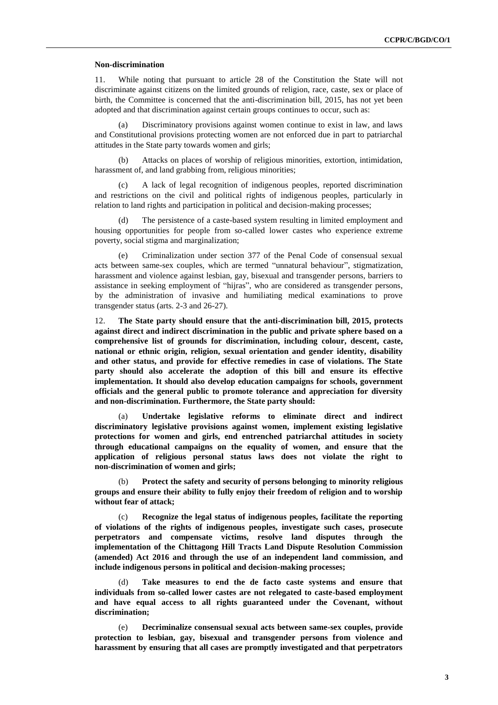#### **Non-discrimination**

11. While noting that pursuant to article 28 of the Constitution the State will not discriminate against citizens on the limited grounds of religion, race, caste, sex or place of birth, the Committee is concerned that the anti-discrimination bill, 2015, has not yet been adopted and that discrimination against certain groups continues to occur, such as:

(a) Discriminatory provisions against women continue to exist in law, and laws and Constitutional provisions protecting women are not enforced due in part to patriarchal attitudes in the State party towards women and girls;

(b) Attacks on places of worship of religious minorities, extortion, intimidation, harassment of, and land grabbing from, religious minorities;

(c) A lack of legal recognition of indigenous peoples, reported discrimination and restrictions on the civil and political rights of indigenous peoples, particularly in relation to land rights and participation in political and decision-making processes;

The persistence of a caste-based system resulting in limited employment and housing opportunities for people from so-called lower castes who experience extreme poverty, social stigma and marginalization;

(e) Criminalization under section 377 of the Penal Code of consensual sexual acts between same-sex couples, which are termed "unnatural behaviour", stigmatization, harassment and violence against lesbian, gay, bisexual and transgender persons, barriers to assistance in seeking employment of "hijras", who are considered as transgender persons, by the administration of invasive and humiliating medical examinations to prove transgender status (arts. 2-3 and 26-27).

12. **The State party should ensure that the anti-discrimination bill, 2015, protects against direct and indirect discrimination in the public and private sphere based on a comprehensive list of grounds for discrimination, including colour, descent, caste, national or ethnic origin, religion, sexual orientation and gender identity, disability and other status, and provide for effective remedies in case of violations. The State party should also accelerate the adoption of this bill and ensure its effective implementation. It should also develop education campaigns for schools, government officials and the general public to promote tolerance and appreciation for diversity and non-discrimination. Furthermore, the State party should:**

(a) **Undertake legislative reforms to eliminate direct and indirect discriminatory legislative provisions against women, implement existing legislative protections for women and girls, end entrenched patriarchal attitudes in society through educational campaigns on the equality of women, and ensure that the application of religious personal status laws does not violate the right to non-discrimination of women and girls;**

(b) **Protect the safety and security of persons belonging to minority religious groups and ensure their ability to fully enjoy their freedom of religion and to worship without fear of attack;** 

(c) **Recognize the legal status of indigenous peoples, facilitate the reporting of violations of the rights of indigenous peoples, investigate such cases, prosecute perpetrators and compensate victims, resolve land disputes through the implementation of the Chittagong Hill Tracts Land Dispute Resolution Commission (amended) Act 2016 and through the use of an independent land commission, and include indigenous persons in political and decision-making processes;**

Take measures to end the de facto caste systems and ensure that **individuals from so-called lower castes are not relegated to caste-based employment and have equal access to all rights guaranteed under the Covenant, without discrimination;**

(e) **Decriminalize consensual sexual acts between same-sex couples, provide protection to lesbian, gay, bisexual and transgender persons from violence and harassment by ensuring that all cases are promptly investigated and that perpetrators**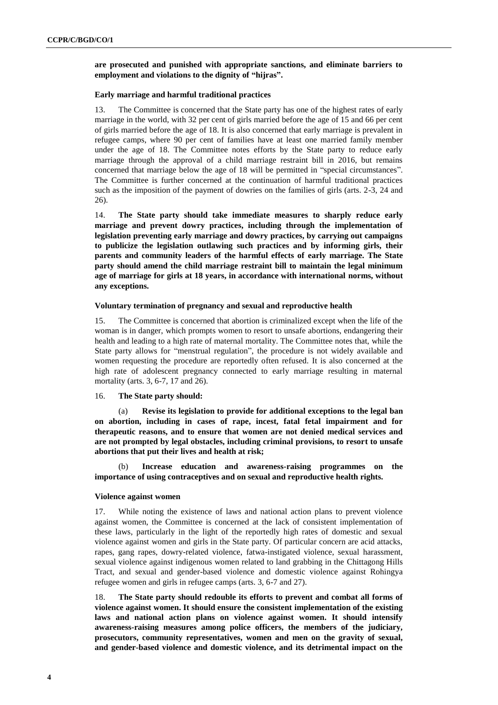# **are prosecuted and punished with appropriate sanctions, and eliminate barriers to employment and violations to the dignity of "hijras".**

#### **Early marriage and harmful traditional practices**

13. The Committee is concerned that the State party has one of the highest rates of early marriage in the world, with 32 per cent of girls married before the age of 15 and 66 per cent of girls married before the age of 18. It is also concerned that early marriage is prevalent in refugee camps, where 90 per cent of families have at least one married family member under the age of 18. The Committee notes efforts by the State party to reduce early marriage through the approval of a child marriage restraint bill in 2016, but remains concerned that marriage below the age of 18 will be permitted in "special circumstances". The Committee is further concerned at the continuation of harmful traditional practices such as the imposition of the payment of dowries on the families of girls (arts. 2-3, 24 and 26).

14. **The State party should take immediate measures to sharply reduce early marriage and prevent dowry practices, including through the implementation of legislation preventing early marriage and dowry practices, by carrying out campaigns to publicize the legislation outlawing such practices and by informing girls, their parents and community leaders of the harmful effects of early marriage. The State party should amend the child marriage restraint bill to maintain the legal minimum age of marriage for girls at 18 years, in accordance with international norms, without any exceptions.** 

#### **Voluntary termination of pregnancy and sexual and reproductive health**

15. The Committee is concerned that abortion is criminalized except when the life of the woman is in danger, which prompts women to resort to unsafe abortions, endangering their health and leading to a high rate of maternal mortality. The Committee notes that, while the State party allows for "menstrual regulation", the procedure is not widely available and women requesting the procedure are reportedly often refused. It is also concerned at the high rate of adolescent pregnancy connected to early marriage resulting in maternal mortality (arts. 3, 6-7, 17 and 26).

#### 16. **The State party should:**

(a) **Revise its legislation to provide for additional exceptions to the legal ban on abortion, including in cases of rape, incest, fatal fetal impairment and for therapeutic reasons, and to ensure that women are not denied medical services and are not prompted by legal obstacles, including criminal provisions, to resort to unsafe abortions that put their lives and health at risk;** 

Increase education and awareness-raising programmes on the **importance of using contraceptives and on sexual and reproductive health rights.**

#### **Violence against women**

17. While noting the existence of laws and national action plans to prevent violence against women, the Committee is concerned at the lack of consistent implementation of these laws, particularly in the light of the reportedly high rates of domestic and sexual violence against women and girls in the State party. Of particular concern are acid attacks, rapes, gang rapes, dowry-related violence, fatwa-instigated violence, sexual harassment, sexual violence against indigenous women related to land grabbing in the Chittagong Hills Tract, and sexual and gender-based violence and domestic violence against Rohingya refugee women and girls in refugee camps (arts. 3, 6-7 and 27).

18. **The State party should redouble its efforts to prevent and combat all forms of violence against women. It should ensure the consistent implementation of the existing laws and national action plans on violence against women. It should intensify awareness-raising measures among police officers, the members of the judiciary, prosecutors, community representatives, women and men on the gravity of sexual, and gender-based violence and domestic violence, and its detrimental impact on the**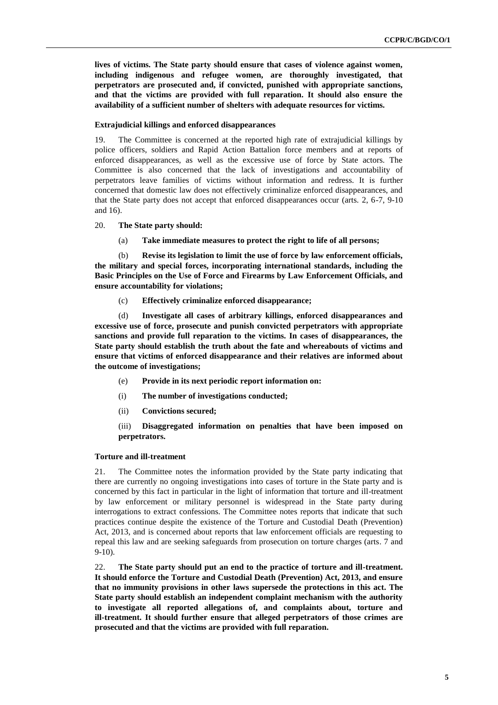**lives of victims. The State party should ensure that cases of violence against women, including indigenous and refugee women, are thoroughly investigated, that perpetrators are prosecuted and, if convicted, punished with appropriate sanctions, and that the victims are provided with full reparation. It should also ensure the availability of a sufficient number of shelters with adequate resources for victims.**

#### **Extrajudicial killings and enforced disappearances**

19. The Committee is concerned at the reported high rate of extrajudicial killings by police officers, soldiers and Rapid Action Battalion force members and at reports of enforced disappearances, as well as the excessive use of force by State actors. The Committee is also concerned that the lack of investigations and accountability of perpetrators leave families of victims without information and redress. It is further concerned that domestic law does not effectively criminalize enforced disappearances, and that the State party does not accept that enforced disappearances occur (arts. 2, 6-7, 9-10 and 16).

#### 20. **The State party should:**

(a) **Take immediate measures to protect the right to life of all persons;** 

(b) **Revise its legislation to limit the use of force by law enforcement officials, the military and special forces, incorporating international standards, including the Basic Principles on the Use of Force and Firearms by Law Enforcement Officials, and ensure accountability for violations;**

(c) **Effectively criminalize enforced disappearance;**

(d) **Investigate all cases of arbitrary killings, enforced disappearances and excessive use of force, prosecute and punish convicted perpetrators with appropriate sanctions and provide full reparation to the victims. In cases of disappearances, the State party should establish the truth about the fate and whereabouts of victims and ensure that victims of enforced disappearance and their relatives are informed about the outcome of investigations;**

- (e) **Provide in its next periodic report information on:**
- (i) **The number of investigations conducted;**
- (ii) **Convictions secured;**

(iii) **Disaggregated information on penalties that have been imposed on perpetrators.** 

# **Torture and ill-treatment**

21. The Committee notes the information provided by the State party indicating that there are currently no ongoing investigations into cases of torture in the State party and is concerned by this fact in particular in the light of information that torture and ill-treatment by law enforcement or military personnel is widespread in the State party during interrogations to extract confessions. The Committee notes reports that indicate that such practices continue despite the existence of the Torture and Custodial Death (Prevention) Act, 2013, and is concerned about reports that law enforcement officials are requesting to repeal this law and are seeking safeguards from prosecution on torture charges (arts. 7 and 9-10).

22. **The State party should put an end to the practice of torture and ill-treatment. It should enforce the Torture and Custodial Death (Prevention) Act, 2013, and ensure that no immunity provisions in other laws supersede the protections in this act. The State party should establish an independent complaint mechanism with the authority to investigate all reported allegations of, and complaints about, torture and ill-treatment. It should further ensure that alleged perpetrators of those crimes are prosecuted and that the victims are provided with full reparation.**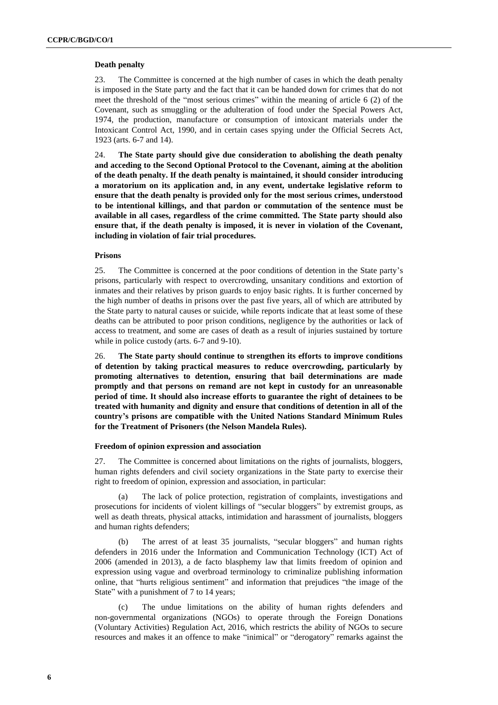### **Death penalty**

23. The Committee is concerned at the high number of cases in which the death penalty is imposed in the State party and the fact that it can be handed down for crimes that do not meet the threshold of the "most serious crimes" within the meaning of article 6 (2) of the Covenant, such as smuggling or the adulteration of food under the Special Powers Act, 1974, the production, manufacture or consumption of intoxicant materials under the Intoxicant Control Act, 1990, and in certain cases spying under the Official Secrets Act, 1923 (arts. 6-7 and 14).

24. **The State party should give due consideration to abolishing the death penalty and acceding to the Second Optional Protocol to the Covenant, aiming at the abolition of the death penalty. If the death penalty is maintained, it should consider introducing a moratorium on its application and, in any event, undertake legislative reform to ensure that the death penalty is provided only for the most serious crimes, understood to be intentional killings, and that pardon or commutation of the sentence must be available in all cases, regardless of the crime committed. The State party should also ensure that, if the death penalty is imposed, it is never in violation of the Covenant, including in violation of fair trial procedures.**

### **Prisons**

25. The Committee is concerned at the poor conditions of detention in the State party's prisons, particularly with respect to overcrowding, unsanitary conditions and extortion of inmates and their relatives by prison guards to enjoy basic rights. It is further concerned by the high number of deaths in prisons over the past five years, all of which are attributed by the State party to natural causes or suicide, while reports indicate that at least some of these deaths can be attributed to poor prison conditions, negligence by the authorities or lack of access to treatment, and some are cases of death as a result of injuries sustained by torture while in police custody (arts. 6-7 and 9-10).

26. **The State party should continue to strengthen its efforts to improve conditions of detention by taking practical measures to reduce overcrowding, particularly by promoting alternatives to detention, ensuring that bail determinations are made promptly and that persons on remand are not kept in custody for an unreasonable period of time. It should also increase efforts to guarantee the right of detainees to be treated with humanity and dignity and ensure that conditions of detention in all of the country's prisons are compatible with the United Nations Standard Minimum Rules for the Treatment of Prisoners (the Nelson Mandela Rules).** 

#### **Freedom of opinion expression and association**

27. The Committee is concerned about limitations on the rights of journalists, bloggers, human rights defenders and civil society organizations in the State party to exercise their right to freedom of opinion, expression and association, in particular:

(a) The lack of police protection, registration of complaints, investigations and prosecutions for incidents of violent killings of "secular bloggers" by extremist groups, as well as death threats, physical attacks, intimidation and harassment of journalists, bloggers and human rights defenders;

(b) The arrest of at least 35 journalists, "secular bloggers" and human rights defenders in 2016 under the Information and Communication Technology (ICT) Act of 2006 (amended in 2013), a de facto blasphemy law that limits freedom of opinion and expression using vague and overbroad terminology to criminalize publishing information online, that "hurts religious sentiment" and information that prejudices "the image of the State" with a punishment of 7 to 14 years;

(c) The undue limitations on the ability of human rights defenders and non-governmental organizations (NGOs) to operate through the Foreign Donations (Voluntary Activities) Regulation Act, 2016, which restricts the ability of NGOs to secure resources and makes it an offence to make "inimical" or "derogatory" remarks against the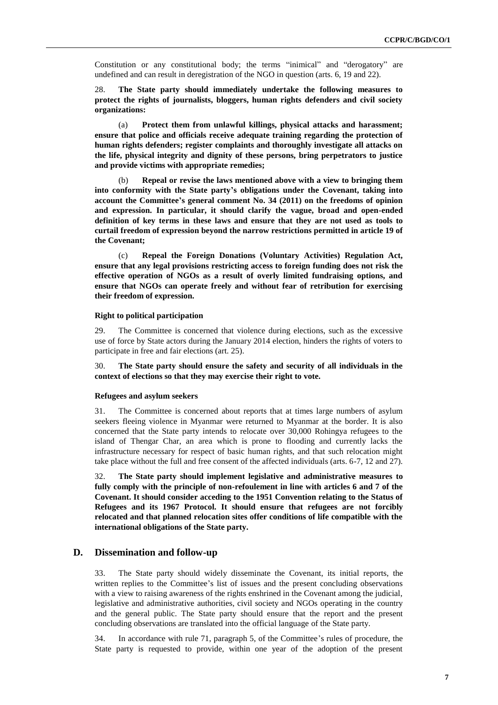Constitution or any constitutional body; the terms "inimical" and "derogatory" are undefined and can result in deregistration of the NGO in question (arts. 6, 19 and 22).

28. **The State party should immediately undertake the following measures to protect the rights of journalists, bloggers, human rights defenders and civil society organizations:**

(a) **Protect them from unlawful killings, physical attacks and harassment; ensure that police and officials receive adequate training regarding the protection of human rights defenders; register complaints and thoroughly investigate all attacks on the life, physical integrity and dignity of these persons, bring perpetrators to justice and provide victims with appropriate remedies;**

(b) **Repeal or revise the laws mentioned above with a view to bringing them into conformity with the State party's obligations under the Covenant, taking into account the Committee's general comment No. 34 (2011) on the freedoms of opinion and expression. In particular, it should clarify the vague, broad and open-ended definition of key terms in these laws and ensure that they are not used as tools to curtail freedom of expression beyond the narrow restrictions permitted in article 19 of the Covenant;** 

(c) **Repeal the Foreign Donations (Voluntary Activities) Regulation Act, ensure that any legal provisions restricting access to foreign funding does not risk the effective operation of NGOs as a result of overly limited fundraising options, and ensure that NGOs can operate freely and without fear of retribution for exercising their freedom of expression.**

# **Right to political participation**

29. The Committee is concerned that violence during elections, such as the excessive use of force by State actors during the January 2014 election, hinders the rights of voters to participate in free and fair elections (art. 25).

30. **The State party should ensure the safety and security of all individuals in the context of elections so that they may exercise their right to vote.**

#### **Refugees and asylum seekers**

31. The Committee is concerned about reports that at times large numbers of asylum seekers fleeing violence in Myanmar were returned to Myanmar at the border. It is also concerned that the State party intends to relocate over 30,000 Rohingya refugees to the island of Thengar Char, an area which is prone to flooding and currently lacks the infrastructure necessary for respect of basic human rights, and that such relocation might take place without the full and free consent of the affected individuals (arts. 6-7, 12 and 27).

32. **The State party should implement legislative and administrative measures to fully comply with the principle of non-refoulement in line with articles 6 and 7 of the Covenant. It should consider acceding to the 1951 Convention relating to the Status of Refugees and its 1967 Protocol. It should ensure that refugees are not forcibly relocated and that planned relocation sites offer conditions of life compatible with the international obligations of the State party.** 

# **D. Dissemination and follow-up**

33. The State party should widely disseminate the Covenant, its initial reports, the written replies to the Committee's list of issues and the present concluding observations with a view to raising awareness of the rights enshrined in the Covenant among the judicial, legislative and administrative authorities, civil society and NGOs operating in the country and the general public. The State party should ensure that the report and the present concluding observations are translated into the official language of the State party.

34. In accordance with rule 71, paragraph 5, of the Committee's rules of procedure, the State party is requested to provide, within one year of the adoption of the present